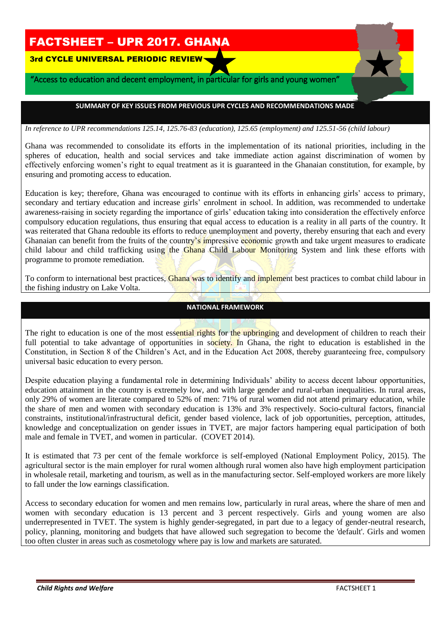# FACTSHEET – UPR 2017. GHANA

3rd CYCLE UNIVERSAL PERIODIC REVIEW

 i

"Access to education and decent employment, in particular for girls and young women"

## **SUMMARY OF KEY ISSUES FROM PREVIOUS UPR CYCLES AND RECOMMENDATIONS MADE**

*In reference to UPR recommendations 125.14, 125.76-83 (education), 125.65 (employment) and 125.51-56 (child labour)*

Ghana was recommended to consolidate its efforts in the implementation of its national priorities, including in the spheres of education, health and social services and take immediate action against discrimination of women by effectively enforcing women's right to equal treatment as it is guaranteed in the Ghanaian constitution, for example, by ensuring and promoting access to education.

Education is key; therefore, Ghana was encouraged to continue with its efforts in enhancing girls' access to primary, secondary and tertiary education and increase girls' enrolment in school. In addition, was recommended to undertake awareness-raising in society regarding the importance of girls' education taking into consideration the effectively enforce compulsory education regulations, thus ensuring that equal access to education is a reality in all parts of the country. It was reiterated that Ghana redouble its efforts to reduce unemployment and poverty, thereby ensuring that each and every Ghanaian can benefit from the fruits of the country's impressive economic growth and take urgent measures to eradicate child labour and child trafficking using the Ghana Child Labour Monitoring System and link these efforts with programme to promote remediation.

To conform to international best practices, Ghana was to identify and implement best practices to combat child labour in the fishing industry on Lake Volta.

## **NATIONAL FRAMEWORK**

The right to education is one of the most essential rights for the upbringing and development of children to reach their full potential to take advantage of opportunities in society. In Ghana, the right to education is established in the Constitution, in Section 8 of the Children's Act, and in the Education Act 2008, thereby guaranteeing free, compulsory universal basic education to every person.

Despite education playing a fundamental role in determining Individuals' ability to access decent labour opportunities, education attainment in the country is extremely low, and with large gender and rural-urban inequalities. In rural areas, only 29% of women are literate compared to 52% of men: 71% of rural women did not attend primary education, while the share of men and women with secondary education is 13% and 3% respectively. Socio-cultural factors, financial constraints, institutional/infrastructural deficit, gender based violence, lack of job opportunities, perception, attitudes, knowledge and conceptualization on gender issues in TVET, are major factors hampering equal participation of both male and female in TVET, and women in particular. (COVET 2014).

It is estimated that 73 per cent of the female workforce is self-employed (National Employment Policy, 2015). The agricultural sector is the main employer for rural women although rural women also have high employment participation in wholesale retail, marketing and tourism, as well as in the manufacturing sector. Self-employed workers are more likely to fall under the low earnings classification.

Access to secondary education for women and men remains low, particularly in rural areas, where the share of men and women with secondary education is 13 percent and 3 percent respectively. Girls and young women are also underrepresented in TVET. The system is highly gender-segregated, in part due to a legacy of gender-neutral research, policy, planning, monitoring and budgets that have allowed such segregation to become the 'default'. Girls and women too often cluster in areas such as cosmetology where pay is low and markets are saturated.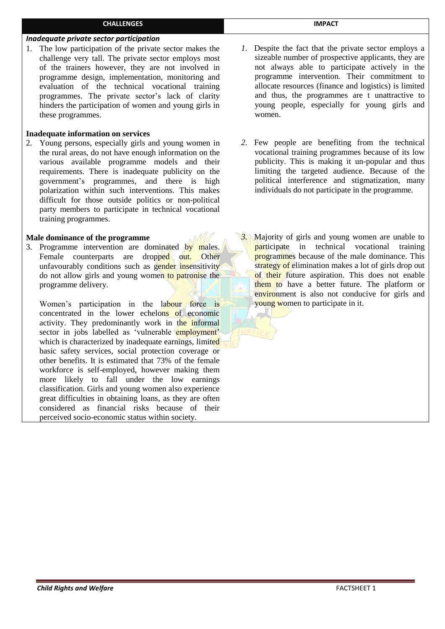# *Inadequate private sector participation*

1. The low participation of the private sector makes the challenge very tall. The private sector employs most of the trainers however, they are not involved in programme design, implementation, monitoring and evaluation of the technical vocational training programmes. The private sector's lack of clarity hinders the participation of women and young girls in these programmes.

**CHALLENGES** 

#### **Inadequate information on services**

2. Young persons, especially girls and young women in the rural areas, do not have enough information on the various available programme models and their requirements. There is inadequate publicity on the government's programmes, and there is high polarization within such interventions. This makes difficult for those outside politics or non-political party members to participate in technical vocational training programmes.

#### **Male dominance of the programme**

3. Programme intervention are dominated by males. Female counterparts are dropped out. Other unfavourably conditions such as gender insensitivity do not allow girls and young women to patronise the programme delivery.

Women's participation in the labour force is concentrated in the lower echelons of economic activity. They predominantly work in the informal sector in jobs labelled as 'vulnerable employment' which is characterized by inadequate earnings, limited basic safety services, social protection coverage or other benefits. It is estimated that 73% of the female workforce is self-employed, however making them more likely to fall under the low earnings classification. Girls and young women also experience great difficulties in obtaining loans, as they are often considered as financial risks because of their perceived socio-economic status within society.

- *1.* Despite the fact that the private sector employs a sizeable number of prospective applicants, they are not always able to participate actively in the programme intervention. Their commitment to allocate resources (finance and logistics) is limited and thus, the programmes are t unattractive to young people, especially for young girls and women.
- *2.* Few people are benefiting from the technical vocational training programmes because of its low publicity. This is making it un-popular and thus limiting the targeted audience. Because of the political interference and stigmatization, many individuals do not participate in the programme.
- *3.* Majority of girls and young women are unable to participate in technical vocational training programmes because of the male dominance. This strategy of elimination makes a lot of girls drop out of their future aspiration. This does not enable them to have a better future. The platform or environment is also not conducive for girls and young women to participate in it.